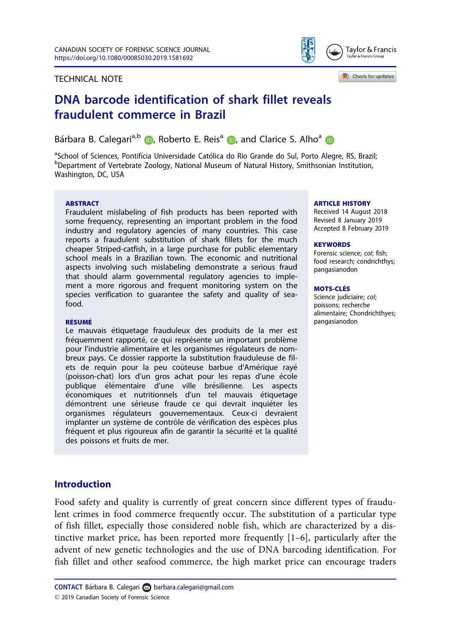<span id="page-0-0"></span>





# DNA barcode identification of shark fillet reveals fraudulent commerce in Brazil

Bárbara B. Calegari<sup>a[,](https://orcid.org/0000-0001-6335-6854)b</sup> **D**, Roberto E. Reis<sup>a</sup> **D**, and Clarice S. Alho<sup>a</sup> **D** 

a<br> **Bology School of Sciences, Pontifícia Universidade Católica do Rio Grande do Sul, Porto Alegre, RS, Brazil;**<br> **PDopartment of Vertebrate Zoology, National Museum of Natural History, Smithsonian Institution** Department of Vertebrate Zoology, National Museum of Natural History, Smithsonian Institution, Washington, DC, USA

#### **ARSTRACT**

Fraudulent mislabeling of fish products has been reported with some frequency, representing an important problem in the food industry and regulatory agencies of many countries. This case reports a fraudulent substitution of shark fillets for the much cheaper Striped-catfish, in a large purchase for public elementary school meals in a Brazilian town. The economic and nutritional aspects involving such mislabeling demonstrate a serious fraud that should alarm governmental regulatory agencies to implement a more rigorous and frequent monitoring system on the species verification to guarantee the safety and quality of seafood.

#### RÉSUMÉ

Le mauvais etiquetage frauduleux des produits de la mer est fréquemment rapporté, ce qui représente un important problème pour l'industrie alimentaire et les organismes r egulateurs de nombreux pays. Ce dossier rapporte la substitution frauduleuse de filets de requin pour la peu coûteuse barbue d'Amérique rayé (poisson-chat) lors d'un gros achat pour les repas d'une école publique élémentaire d'une ville brésilienne. Les aspects économiques et nutritionnels d'un tel mauvais étiquetage démontrent une sérieuse fraude ce qui devrait inquiéter les organismes r egulateurs gouvernementaux. Ceux-ci devraient implanter un système de contrôle de vérification des espèces plus fréquent et plus rigoureux afin de garantir la sécurité et la qualité des poissons et fruits de mer.

#### ARTICLE HISTORY

Received 14 August 2018 Revised 8 January 2019 Accepted 8 February 2019

#### **KEYWORDS**

Forensic science; col; fish; food research; condrichthys; pangasianodon

#### MOTS-CLES

Science judiciaire; col; poissons; recherche alimentaire; Chondrichthyes; pangasianodon

### Introduction

Food safety and quality is currently of great concern since different types of fraudulent crimes in food commerce frequently occur. The substitution of a particular type of fish fillet, especially those considered noble fish, which are characterized by a distinctive market price, has been reported more frequently [1–[6\]](#page-5-0), particularly after the advent of new genetic technologies and the use of DNA barcoding identification. For fish fillet and other seafood commerce, the high market price can encourage traders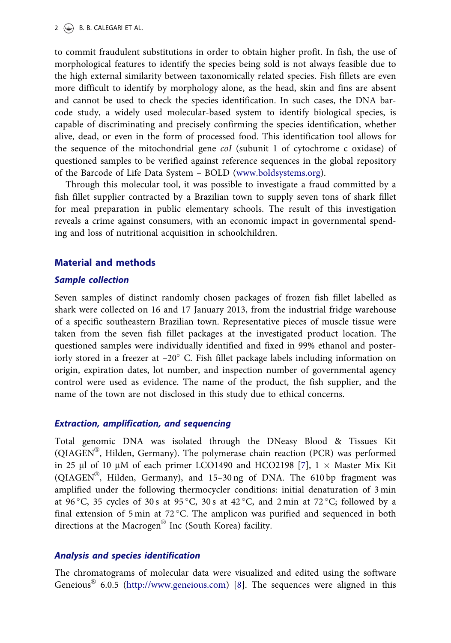<span id="page-1-0"></span>to commit fraudulent substitutions in order to obtain higher profit. In fish, the use of morphological features to identify the species being sold is not always feasible due to the high external similarity between taxonomically related species. Fish fillets are even more difficult to identify by morphology alone, as the head, skin and fins are absent and cannot be used to check the species identification. In such cases, the DNA barcode study, a widely used molecular-based system to identify biological species, is capable of discriminating and precisely confirming the species identification, whether alive, dead, or even in the form of processed food. This identification tool allows for the sequence of the mitochondrial gene coI (subunit 1 of cytochrome c oxidase) of questioned samples to be verified against reference sequences in the global repository of the Barcode of Life Data System – BOLD ([www.boldsystems.org\)](http://www.boldsystems.org).

Through this molecular tool, it was possible to investigate a fraud committed by a fish fillet supplier contracted by a Brazilian town to supply seven tons of shark fillet for meal preparation in public elementary schools. The result of this investigation reveals a crime against consumers, with an economic impact in governmental spending and loss of nutritional acquisition in schoolchildren.

# Material and methods

## Sample collection

Seven samples of distinct randomly chosen packages of frozen fish fillet labelled as shark were collected on 16 and 17 January 2013, from the industrial fridge warehouse of a specific southeastern Brazilian town. Representative pieces of muscle tissue were taken from the seven fish fillet packages at the investigated product location. The questioned samples were individually identified and fixed in 99% ethanol and posteriorly stored in a freezer at  $-20^{\circ}$  C. Fish fillet package labels including information on origin, expiration dates, lot number, and inspection number of governmental agency control were used as evidence. The name of the product, the fish supplier, and the name of the town are not disclosed in this study due to ethical concerns.

# Extraction, amplification, and sequencing

Total genomic DNA was isolated through the DNeasy Blood & Tissues Kit (QIAGEN®, Hilden, Germany). The polymerase chain reaction (PCR) was performed in 25 µl of 10 µM of each primer LCO1490 and HCO2198 [\[7](#page-5-0)],  $1 \times$  Master Mix Kit (QIAGEN®, Hilden, Germany), and 15-30 ng of DNA. The 610 bp fragment was amplified under the following thermocycler conditions: initial denaturation of 3 min at 96 °C, 35 cycles of 30 s at 95 °C, 30 s at 42 °C, and 2 min at 72 °C; followed by a final extension of 5 min at 72 °C. The amplicon was purified and sequenced in both directions at the Macrogen® Inc (South Korea) facility.

# Analysis and species identification

The chromatograms of molecular data were visualized and edited using the software Geneious $^{\circledR}$  6.0.5 [\(http://www.geneious.com](http://www.geneious.com)) [\[8](#page-5-0)]. The sequences were aligned in this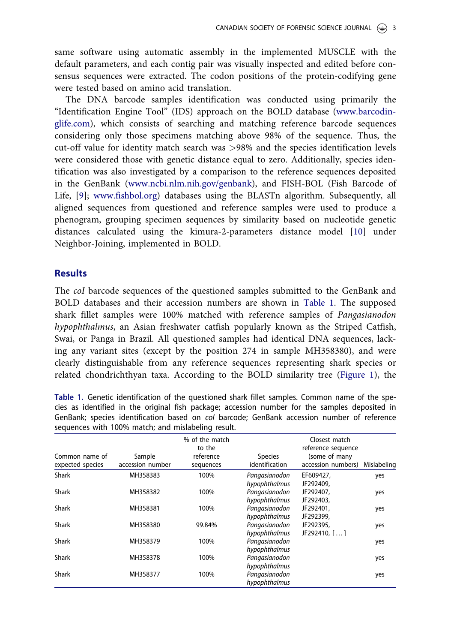<span id="page-2-0"></span>same software using automatic assembly in the implemented MUSCLE with the default parameters, and each contig pair was visually inspected and edited before consensus sequences were extracted. The codon positions of the protein-codifying gene were tested based on amino acid translation.

The DNA barcode samples identification was conducted using primarily the "Identification Engine Tool" (IDS) approach on the BOLD database [\(www.barcodin](http://www.barcodinglife.com)[glife.com\)](http://www.barcodinglife.com), which consists of searching and matching reference barcode sequences considering only those specimens matching above 98% of the sequence. Thus, the cut-off value for identity match search was >98% and the species identification levels were considered those with genetic distance equal to zero. Additionally, species identification was also investigated by a comparison to the reference sequences deposited in the GenBank [\(www.ncbi.nlm.nih.gov/genbank\)](http://www.ncbi.nlm.nih.gov/genbank), and FISH-BOL (Fish Barcode of Life, [[9\]](#page-5-0); [www.fishbol.org\)](http://www.fishbol.org) databases using the BLASTn algorithm. Subsequently, all aligned sequences from questioned and reference samples were used to produce a phenogram, grouping specimen sequences by similarity based on nucleotide genetic distances calculated using the kimura-2-parameters distance model [[10\]](#page-5-0) under Neighbor-Joining, implemented in BOLD.

## **Results**

The coI barcode sequences of the questioned samples submitted to the GenBank and BOLD databases and their accession numbers are shown in Table 1. The supposed shark fillet samples were 100% matched with reference samples of Pangasianodon hypophthalmus, an Asian freshwater catfish popularly known as the Striped Catfish, Swai, or Panga in Brazil. All questioned samples had identical DNA sequences, lacking any variant sites (except by the position 274 in sample MH358380), and were clearly distinguishable from any reference sequences representing shark species or related chondrichthyan taxa. According to the BOLD similarity tree [\(Figure 1](#page-3-0)), the

Table 1. Genetic identification of the questioned shark fillet samples. Common name of the species as identified in the original fish package; accession number for the samples deposited in GenBank; species identification based on col barcode; GenBank accession number of reference sequences with 100% match; and mislabeling result.

| Common name of<br>expected species | Sample<br>accession number | % of the match<br>to the<br>reference<br>sequences | <b>Species</b><br>identification | Closest match<br>reference sequence<br>(some of many<br>accession numbers) | Mislabeling |
|------------------------------------|----------------------------|----------------------------------------------------|----------------------------------|----------------------------------------------------------------------------|-------------|
| <b>Shark</b>                       | MH358383                   | 100%                                               | Pangasianodon<br>hypophthalmus   | EF609427,<br>JF292409,                                                     | yes         |
| <b>Shark</b>                       | MH358382                   | 100%                                               | Pangasianodon<br>hypophthalmus   | JF292407,<br>JF292403,                                                     | yes         |
| <b>Shark</b>                       | MH358381                   | 100%                                               | Pangasianodon<br>hypophthalmus   | JF292401,<br>JF292399,                                                     | yes         |
| <b>Shark</b>                       | MH358380                   | 99.84%                                             | Pangasianodon<br>hypophthalmus   | JF292395,<br>JF292410, []                                                  | yes         |
| <b>Shark</b>                       | MH358379                   | 100%                                               | Pangasianodon<br>hypophthalmus   |                                                                            | yes         |
| <b>Shark</b>                       | MH358378                   | 100%                                               | Pangasianodon<br>hypophthalmus   |                                                                            | yes         |
| <b>Shark</b>                       | MH358377                   | 100%                                               | Pangasianodon<br>hypophthalmus   |                                                                            | yes         |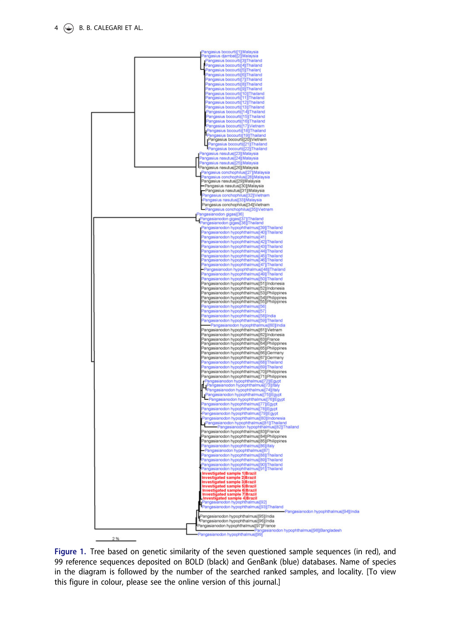<span id="page-3-0"></span>

Figure 1. Tree based on genetic similarity of the seven questioned sample sequences (in red), and 99 reference sequences deposited on BOLD (black) and GenBank (blue) databases. Name of species in the diagram is followed by the number of the searched ranked samples, and locality. [To view this figure in colour, please see the online version of this journal.]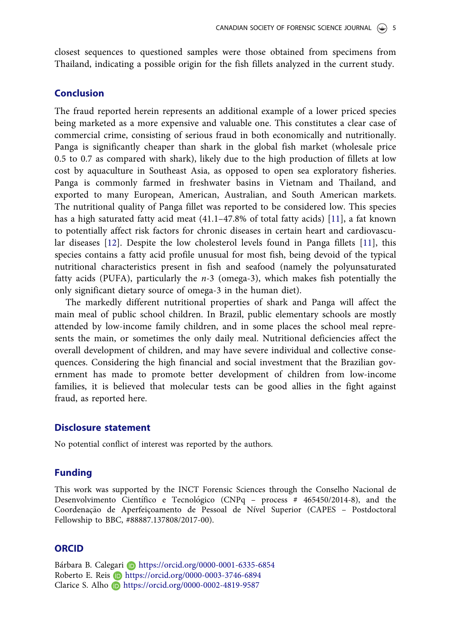<span id="page-4-0"></span>closest sequences to questioned samples were those obtained from specimens from Thailand, indicating a possible origin for the fish fillets analyzed in the current study.

### Conclusion

The fraud reported herein represents an additional example of a lower priced species being marketed as a more expensive and valuable one. This constitutes a clear case of commercial crime, consisting of serious fraud in both economically and nutritionally. Panga is significantly cheaper than shark in the global fish market (wholesale price 0.5 to 0.7 as compared with shark), likely due to the high production of fillets at low cost by aquaculture in Southeast Asia, as opposed to open sea exploratory fisheries. Panga is commonly farmed in freshwater basins in Vietnam and Thailand, and exported to many European, American, Australian, and South American markets. The nutritional quality of Panga fillet was reported to be considered low. This species has a high saturated fatty acid meat (41.1–47.8% of total fatty acids) [\[11](#page-5-0)], a fat known to potentially affect risk factors for chronic diseases in certain heart and cardiovascular diseases [[12\]](#page-5-0). Despite the low cholesterol levels found in Panga fillets [\[11](#page-5-0)], this species contains a fatty acid profile unusual for most fish, being devoid of the typical nutritional characteristics present in fish and seafood (namely the polyunsaturated fatty acids (PUFA), particularly the  $n-3$  (omega-3), which makes fish potentially the only significant dietary source of omega-3 in the human diet).

The markedly different nutritional properties of shark and Panga will affect the main meal of public school children. In Brazil, public elementary schools are mostly attended by low-income family children, and in some places the school meal represents the main, or sometimes the only daily meal. Nutritional deficiencies affect the overall development of children, and may have severe individual and collective consequences. Considering the high financial and social investment that the Brazilian government has made to promote better development of children from low-income families, it is believed that molecular tests can be good allies in the fight against fraud, as reported here.

#### Disclosure statement

No potential conflict of interest was reported by the authors.

### Funding

This work was supported by the INCT Forensic Sciences through the Conselho Nacional de Desenvolvimento Científico e Tecnológico (CNPq - process # 465450/2014-8), and the Coordenação de Aperfeiçoamento de Pessoal de Nível Superior (CAPES - Postdoctoral Fellowship to BBC, #88887.137808/2017-00).

### **ORCID**

Bárbara B. Calegari **b** https://orcid.org/0000-0001-6335-6854 Roberto E. Reis **https://orcid.org/0000-0003-3746-6894** Clarice S. Alho **b** https://orcid.org/0000-0002-4819-9587